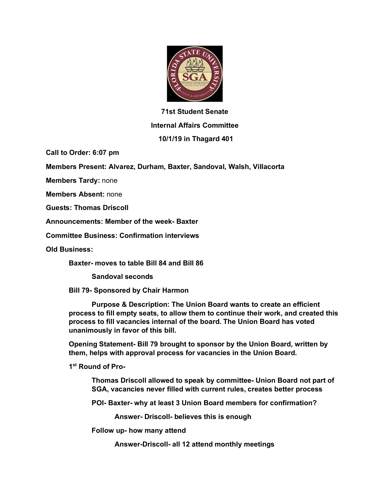

## **71st Student Senate Internal Affairs Committee**

## **10/1/19 in Thagard 401**

**Call to Order: 6:07 pm**

**Members Present: Alvarez, Durham, Baxter, Sandoval, Walsh, Villacorta**

**Members Tardy:** none

**Members Absent:** none

**Guests: Thomas Driscoll**

**Announcements: Member of the week- Baxter**

**Committee Business: Confirmation interviews**

**Old Business:**

**Baxter- moves to table Bill 84 and Bill 86**

**Sandoval seconds**

**Bill 79- Sponsored by Chair Harmon**

**Purpose & Description: The Union Board wants to create an efficient process to fill empty seats, to allow them to continue their work, and created this process to fill vacancies internal of the board. The Union Board has voted unanimously in favor of this bill.**

**Opening Statement- Bill 79 brought to sponsor by the Union Board, written by them, helps with approval process for vacancies in the Union Board.**

**1st Round of Pro-**

**Thomas Driscoll allowed to speak by committee- Union Board not part of SGA, vacancies never filled with current rules, creates better process**

**POI- Baxter- why at least 3 Union Board members for confirmation?**

**Answer- Driscoll- believes this is enough**

**Follow up- how many attend**

**Answer-Driscoll- all 12 attend monthly meetings**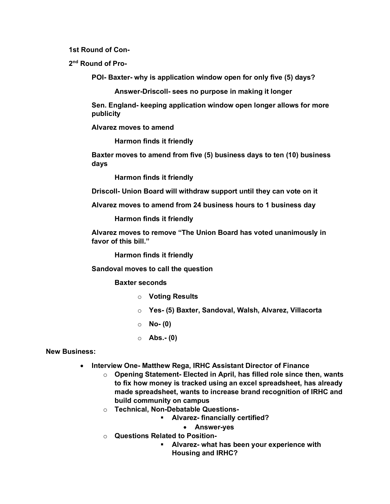**1st Round of Con-**

**2nd Round of Pro-**

**POI- Baxter- why is application window open for only five (5) days?**

**Answer-Driscoll- sees no purpose in making it longer**

**Sen. England- keeping application window open longer allows for more publicity**

**Alvarez moves to amend**

**Harmon finds it friendly**

**Baxter moves to amend from five (5) business days to ten (10) business days**

**Harmon finds it friendly**

**Driscoll- Union Board will withdraw support until they can vote on it**

**Alvarez moves to amend from 24 business hours to 1 business day**

**Harmon finds it friendly**

**Alvarez moves to remove "The Union Board has voted unanimously in favor of this bill."**

**Harmon finds it friendly**

**Sandoval moves to call the question**

## **Baxter seconds**

- o **Voting Results**
- o **Yes- (5) Baxter, Sandoval, Walsh, Alvarez, Villacorta**
- o **No- (0)**
- o **Abs.- (0)**

## **New Business:**

- **Interview One- Matthew Rega, IRHC Assistant Director of Finance**
	- o **Opening Statement- Elected in April, has filled role since then, wants to fix how money is tracked using an excel spreadsheet, has already made spreadsheet, wants to increase brand recognition of IRHC and build community on campus**
	- o **Technical, Non-Debatable Questions-**
		- § **Alvarez- financially certified?**
			- **Answer-yes**
	- o **Questions Related to Position-**
		- § **Alvarez- what has been your experience with Housing and IRHC?**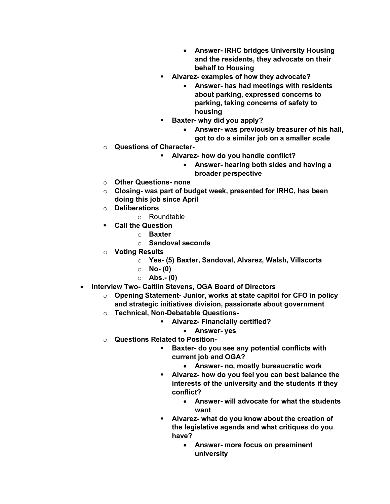- **Answer- IRHC bridges University Housing and the residents, they advocate on their behalf to Housing**
- § **Alvarez- examples of how they advocate?**
	- **Answer- has had meetings with residents about parking, expressed concerns to parking, taking concerns of safety to housing**
- § **Baxter- why did you apply?**
	- **Answer- was previously treasurer of his hall, got to do a similar job on a smaller scale**
- o **Questions of Character-**
	- § **Alvarez- how do you handle conflict?**
		- **Answer- hearing both sides and having a broader perspective**
- o **Other Questions- none**
- o **Closing- was part of budget week, presented for IRHC, has been doing this job since April**
- o **Deliberations**
	- o Roundtable
- § **Call the Question**
	- o **Baxter**
	- o **Sandoval seconds**
- o **Voting Results**
	- o **Yes- (5) Baxter, Sandoval, Alvarez, Walsh, Villacorta**
	- o **No- (0)**
	- o **Abs.- (0)**
- **Interview Two- Caitlin Stevens, OGA Board of Directors**
	- o **Opening Statement- Junior, works at state capitol for CFO in policy and strategic initiatives division, passionate about government**
	- o **Technical, Non-Debatable Questions-**
		- § **Alvarez- Financially certified?**
			- **Answer- yes**
	- o **Questions Related to Position-**
		- § **Baxter- do you see any potential conflicts with current job and OGA?**
			- **Answer- no, mostly bureaucratic work**
		- § **Alvarez- how do you feel you can best balance the interests of the university and the students if they conflict?**
			- **Answer- will advocate for what the students want**
		- § **Alvarez- what do you know about the creation of the legislative agenda and what critiques do you have?**
			- **Answer- more focus on preeminent university**